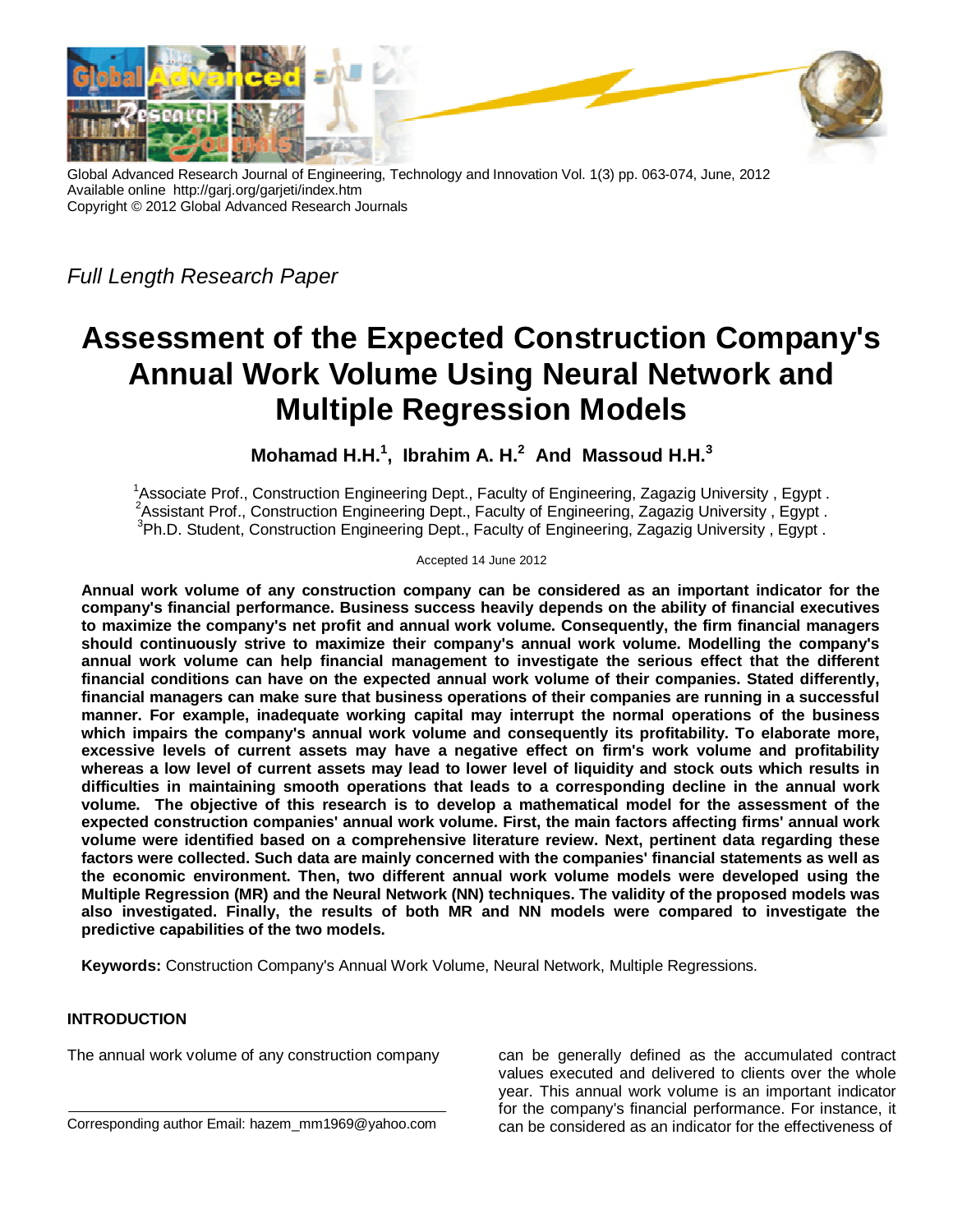

Global Advanced Research Journal of Engineering, Technology and Innovation Vol. 1(3) pp. 063-074, June, 2012 Available online http://garj.org/garjeti/index.htm Copyright © 2012 Global Advanced Research Journals

*Full Length Research Paper*

# **Assessment of the Expected Construction Company's Annual Work Volume Using Neural Network and Multiple Regression Models**

**Mohamad H.H. 1 , Ibrahim A. H. 2 And Massoud H.H. 3**

<sup>1</sup>Associate Prof., Construction Engineering Dept., Faculty of Engineering, Zagazig University, Egypt. <sup>2</sup>Assistant Prof., Construction Engineering Dept., Faculty of Engineering, Zagazig University, Egypt. <sup>3</sup>Ph.D. Student, Construction Engineering Dept., Faculty of Engineering, Zagazig University, Egypt.

Accepted 14 June 2012

**Annual work volume of any construction company can be considered as an important indicator for the company's financial performance. Business success heavily depends on the ability of financial executives to maximize the company's net profit and annual work volume. Consequently, the firm financial managers should continuously strive to maximize their company's annual work volume. Modelling the company's annual work volume can help financial management to investigate the serious effect that the different financial conditions can have on the expected annual work volume of their companies. Stated differently, financial managers can make sure that business operations of their companies are running in a successful manner. For example, inadequate working capital may interrupt the normal operations of the business which impairs the company's annual work volume and consequently its profitability. To elaborate more, excessive levels of current assets may have a negative effect on firm's work volume and profitability whereas a low level of current assets may lead to lower level of liquidity and stock outs which results in difficulties in maintaining smooth operations that leads to a corresponding decline in the annual work volume. The objective of this research is to develop a mathematical model for the assessment of the expected construction companies' annual work volume. First, the main factors affecting firms' annual work volume were identified based on a comprehensive literature review. Next, pertinent data regarding these factors were collected. Such data are mainly concerned with the companies' financial statements as well as the economic environment. Then, two different annual work volume models were developed using the Multiple Regression (MR) and the Neural Network (NN) techniques. The validity of the proposed models was also investigated. Finally, the results of both MR and NN models were compared to investigate the predictive capabilities of the two models.**

**Keywords:** Construction Company's Annual Work Volume, Neural Network, Multiple Regressions.

# **INTRODUCTION**

The annual work volume of any construction company

Corresponding author Email: hazem\_mm1969@yahoo.com

can be generally defined as the accumulated contract values executed and delivered to clients over the whole year. This annual work volume is an important indicator for the company's financial performance. For instance, it can be considered as an indicator for the effectiveness of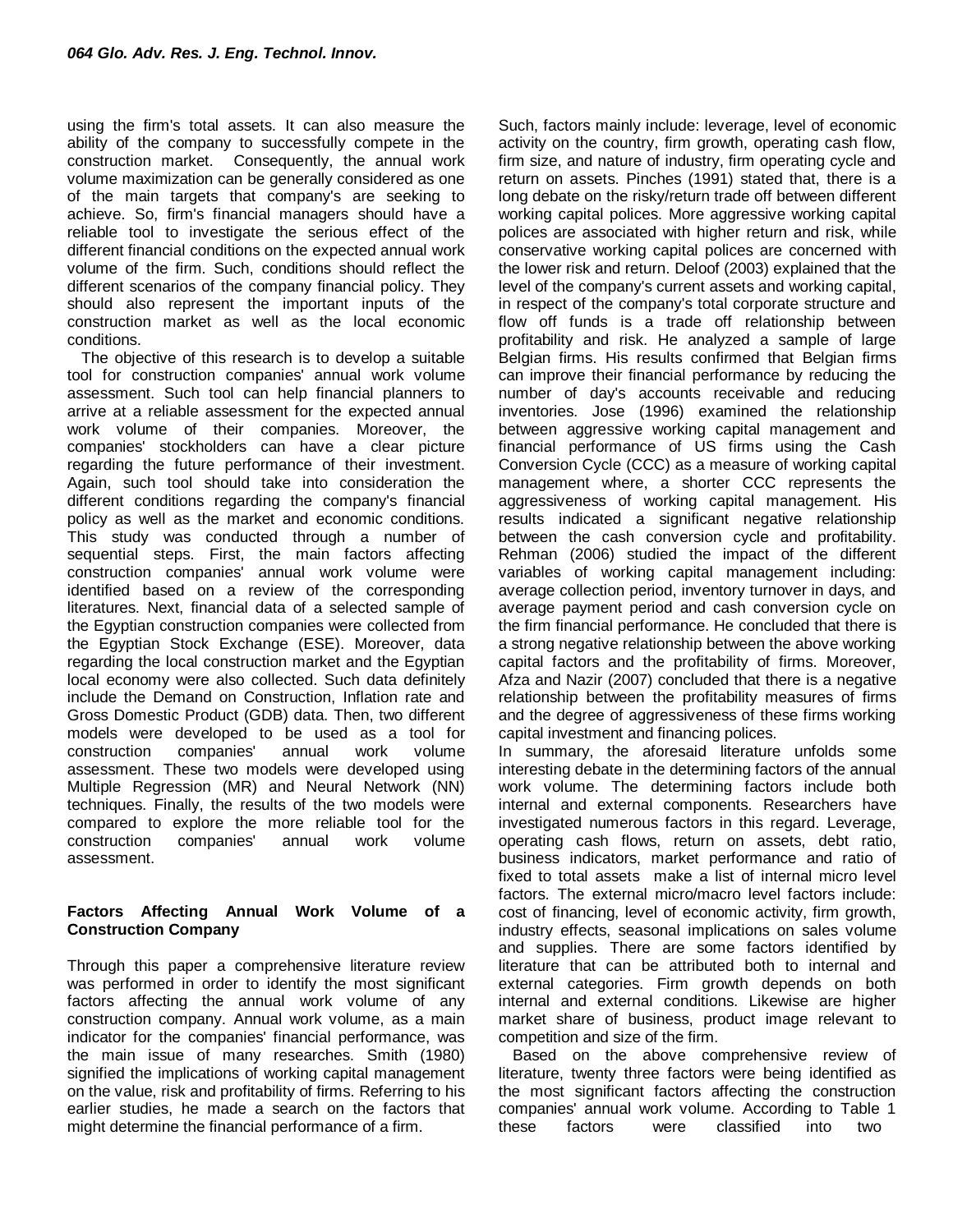using the firm's total assets. It can also measure the ability of the company to successfully compete in the construction market. Consequently, the annual work volume maximization can be generally considered as one of the main targets that company's are seeking to achieve. So, firm's financial managers should have a reliable tool to investigate the serious effect of the different financial conditions on the expected annual work volume of the firm. Such, conditions should reflect the different scenarios of the company financial policy. They should also represent the important inputs of the construction market as well as the local economic conditions.

The objective of this research is to develop a suitable tool for construction companies' annual work volume assessment. Such tool can help financial planners to arrive at a reliable assessment for the expected annual work volume of their companies. Moreover, the companies' stockholders can have a clear picture regarding the future performance of their investment. Again, such tool should take into consideration the different conditions regarding the company's financial policy as well as the market and economic conditions. This study was conducted through a number of sequential steps. First, the main factors affecting construction companies' annual work volume were identified based on a review of the corresponding literatures. Next, financial data of a selected sample of the Egyptian construction companies were collected from the Egyptian Stock Exchange (ESE). Moreover, data regarding the local construction market and the Egyptian local economy were also collected. Such data definitely include the Demand on Construction, Inflation rate and Gross Domestic Product (GDB) data. Then, two different models were developed to be used as a tool for construction companies' annual work volume assessment. These two models were developed using Multiple Regression (MR) and Neural Network (NN) techniques. Finally, the results of the two models were compared to explore the more reliable tool for the construction companies' annual work volume assessment.

### **Factors Affecting Annual Work Volume of a Construction Company**

Through this paper a comprehensive literature review was performed in order to identify the most significant factors affecting the annual work volume of any construction company. Annual work volume, as a main indicator for the companies' financial performance, was the main issue of many researches. Smith (1980) signified the implications of working capital management on the value, risk and profitability of firms. Referring to his earlier studies, he made a search on the factors that might determine the financial performance of a firm.

Such, factors mainly include: leverage, level of economic activity on the country, firm growth, operating cash flow, firm size, and nature of industry, firm operating cycle and return on assets. Pinches (1991) stated that, there is a long debate on the risky/return trade off between different working capital polices. More aggressive working capital polices are associated with higher return and risk, while conservative working capital polices are concerned with the lower risk and return. Deloof (2003) explained that the level of the company's current assets and working capital, in respect of the company's total corporate structure and flow off funds is a trade off relationship between profitability and risk. He analyzed a sample of large Belgian firms. His results confirmed that Belgian firms can improve their financial performance by reducing the number of day's accounts receivable and reducing inventories. Jose (1996) examined the relationship between aggressive working capital management and financial performance of US firms using the Cash Conversion Cycle (CCC) as a measure of working capital management where, a shorter CCC represents the aggressiveness of working capital management. His results indicated a significant negative relationship between the cash conversion cycle and profitability. Rehman (2006) studied the impact of the different variables of working capital management including: average collection period, inventory turnover in days, and average payment period and cash conversion cycle on the firm financial performance. He concluded that there is a strong negative relationship between the above working capital factors and the profitability of firms. Moreover, Afza and Nazir (2007) concluded that there is a negative relationship between the profitability measures of firms and the degree of aggressiveness of these firms working capital investment and financing polices.

In summary, the aforesaid literature unfolds some interesting debate in the determining factors of the annual work volume. The determining factors include both internal and external components. Researchers have investigated numerous factors in this regard. Leverage, operating cash flows, return on assets, debt ratio, business indicators, market performance and ratio of fixed to total assets make a list of internal micro level factors. The external micro/macro level factors include: cost of financing, level of economic activity, firm growth, industry effects, seasonal implications on sales volume and supplies. There are some factors identified by literature that can be attributed both to internal and external categories. Firm growth depends on both internal and external conditions. Likewise are higher market share of business, product image relevant to competition and size of the firm.

Based on the above comprehensive review of literature, twenty three factors were being identified as the most significant factors affecting the construction companies' annual work volume. According to Table 1 these factors were classified into two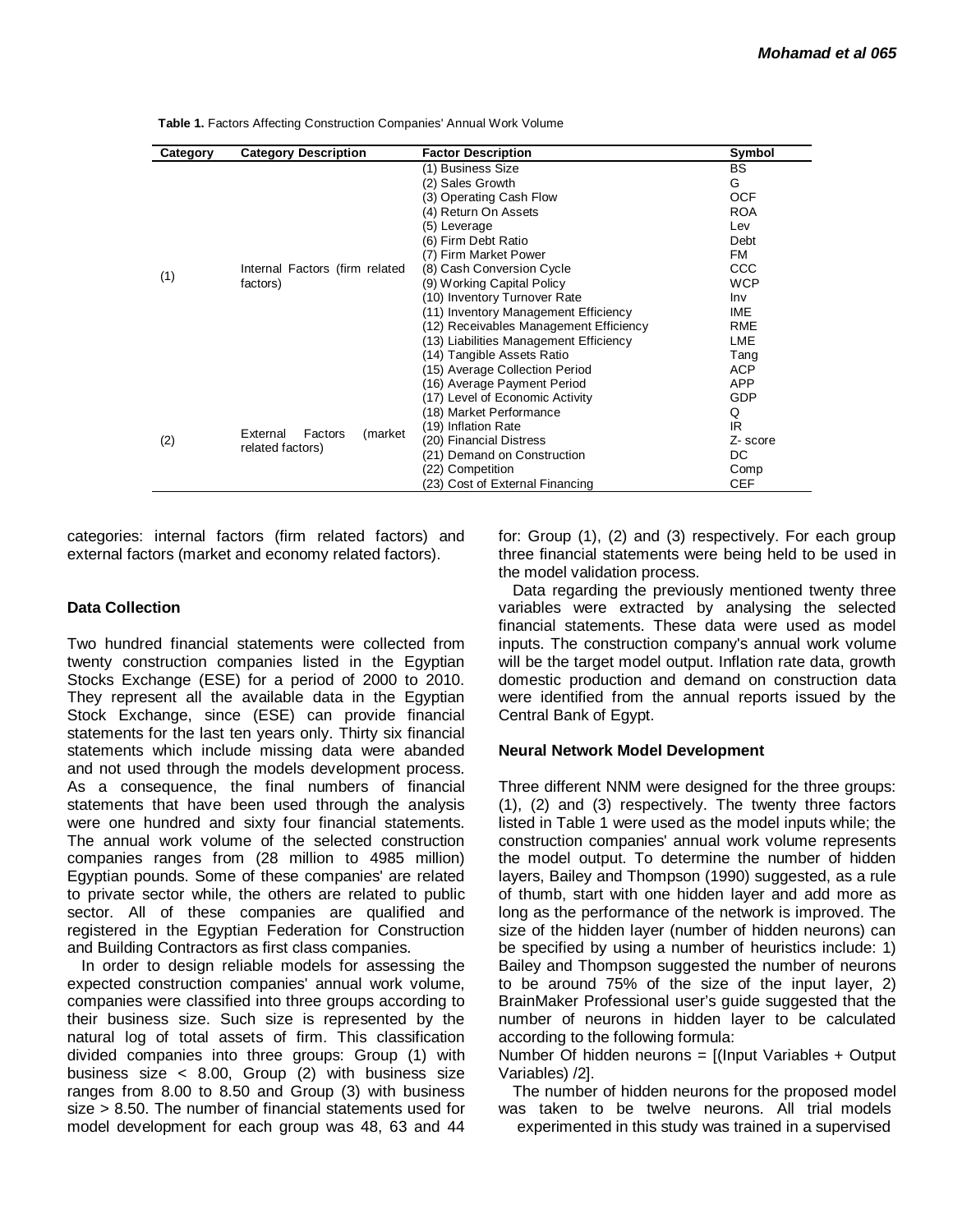| Category | <b>Category Description</b>                         | <b>Factor Description</b>                                                                                                                                                                                                                                                                                                                                                                                                                       | Symbol                                                                                                                                         |
|----------|-----------------------------------------------------|-------------------------------------------------------------------------------------------------------------------------------------------------------------------------------------------------------------------------------------------------------------------------------------------------------------------------------------------------------------------------------------------------------------------------------------------------|------------------------------------------------------------------------------------------------------------------------------------------------|
| (1)      | Internal Factors (firm related<br>factors)          | (1) Business Size<br>(2) Sales Growth<br>(3) Operating Cash Flow<br>(4) Return On Assets<br>(5) Leverage<br>(6) Firm Debt Ratio<br>(7) Firm Market Power<br>(8) Cash Conversion Cycle<br>(9) Working Capital Policy<br>(10) Inventory Turnover Rate<br>(11) Inventory Management Efficiency<br>(12) Receivables Management Efficiency<br>(13) Liabilities Management Efficiency<br>(14) Tangible Assets Ratio<br>(15) Average Collection Period | <b>BS</b><br>G<br><b>OCF</b><br><b>ROA</b><br>Lev<br>Debt<br>FM<br>CCC.<br><b>WCP</b><br>Inv<br>IME<br>RME<br><b>LME</b><br>Tang<br><b>ACP</b> |
| (2)      | Factors<br>External<br>(market)<br>related factors) | (16) Average Payment Period<br>(17) Level of Economic Activity<br>(18) Market Performance<br>(19) Inflation Rate<br>(20) Financial Distress<br>(21) Demand on Construction<br>(22) Competition<br>(23) Cost of External Financing                                                                                                                                                                                                               | <b>APP</b><br>GDP<br>Q<br>IR<br>Z-score<br>DC.<br>Comp<br><b>CEF</b>                                                                           |

Table 1. Factors Affecting Construction Companies' Annual Work Volume

categories: internal factors (firm related factors) and external factors (market and economy related factors).

#### **Data Collection**

Two hundred financial statements were collected from twenty construction companies listed in the Egyptian Stocks Exchange (ESE) for a period of 2000 to 2010. They represent all the available data in the Egyptian Stock Exchange, since (ESE) can provide financial statements for the last ten years only. Thirty six financial statements which include missing data were abanded and not used through the models development process. As a consequence, the final numbers of financial statements that have been used through the analysis were one hundred and sixty four financial statements. The annual work volume of the selected construction companies ranges from (28 million to 4985 million) Egyptian pounds. Some of these companies' are related to private sector while, the others are related to public sector. All of these companies are qualified and registered in the Egyptian Federation for Construction and Building Contractors as first class companies.

In order to design reliable models for assessing the expected construction companies' annual work volume, companies were classified into three groups according to their business size. Such size is represented by the natural log of total assets of firm. This classification divided companies into three groups: Group (1) with business size < 8.00, Group (2) with business size ranges from 8.00 to 8.50 and Group (3) with business size > 8.50. The number of financial statements used for model development for each group was 48, 63 and 44 for: Group (1), (2) and (3) respectively. For each group three financial statements were being held to be used in the model validation process.

Data regarding the previously mentioned twenty three variables were extracted by analysing the selected financial statements. These data were used as model inputs. The construction company's annual work volume will be the target model output. Inflation rate data, growth domestic production and demand on construction data were identified from the annual reports issued by the Central Bank of Egypt.

#### **Neural Network Model Development**

Three different NNM were designed for the three groups: (1), (2) and (3) respectively. The twenty three factors listed in Table 1 were used as the model inputs while; the construction companies' annual work volume represents the model output. To determine the number of hidden layers, Bailey and Thompson (1990) suggested, as a rule of thumb, start with one hidden layer and add more as long as the performance of the network is improved. The size of the hidden layer (number of hidden neurons) can be specified by using a number of heuristics include: 1) Bailey and Thompson suggested the number of neurons to be around 75% of the size of the input layer, 2) BrainMaker Professional user's guide suggested that the number of neurons in hidden layer to be calculated according to the following formula:

Number Of hidden neurons  $=$  [(Input Variables  $+$  Output Variables) /2].

The number of hidden neurons for the proposed model was taken to be twelve neurons. All trial models experimented in this study was trained in a supervised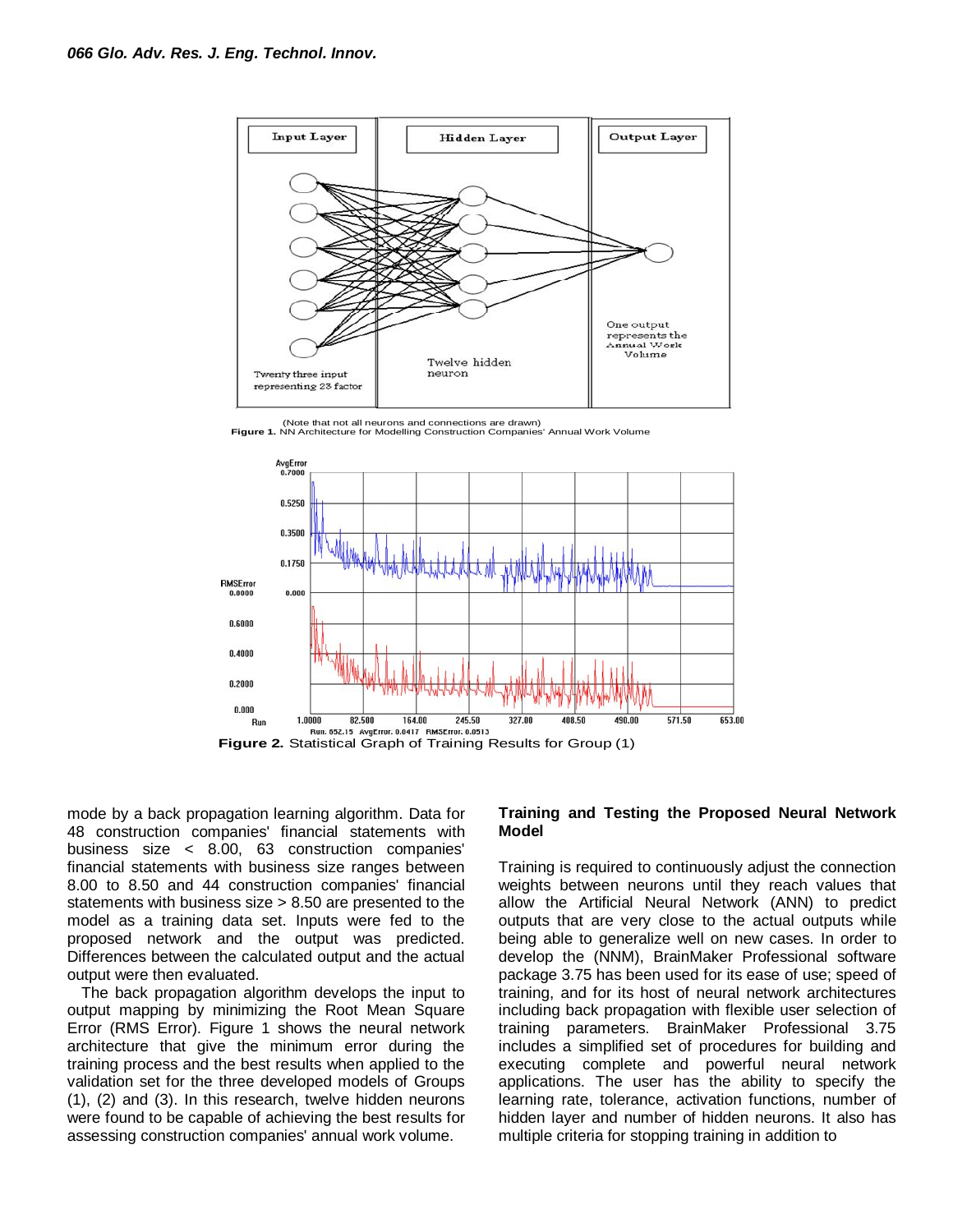

(Note that not all neurons and connections are drawn) **Figure 1.** NN Architecture for Modelling Construction Companies' Annual Work Volume



mode by a back propagation learning algorithm. Data for 48 construction companies' financial statements with business size < 8.00, 63 construction companies' financial statements with business size ranges between 8.00 to 8.50 and 44 construction companies' financial statements with business size > 8.50 are presented to the model as a training data set. Inputs were fed to the proposed network and the output was predicted. Differences between the calculated output and the actual output were then evaluated.

The back propagation algorithm develops the input to output mapping by minimizing the Root Mean Square Error (RMS Error). Figure 1 shows the neural network architecture that give the minimum error during the training process and the best results when applied to the validation set for the three developed models of Groups (1), (2) and (3). In this research, twelve hidden neurons were found to be capable of achieving the best results for assessing construction companies' annual work volume.

#### **Training and Testing the Proposed Neural Network Model**

Training is required to continuously adjust the connection weights between neurons until they reach values that allow the Artificial Neural Network (ANN) to predict outputs that are very close to the actual outputs while being able to generalize well on new cases. In order to develop the (NNM), BrainMaker Professional software package 3.75 has been used for its ease of use; speed of training, and for its host of neural network architectures including back propagation with flexible user selection of training parameters. BrainMaker Professional 3.75 includes a simplified set of procedures for building and executing complete and powerful neural network applications. The user has the ability to specify the learning rate, tolerance, activation functions, number of hidden layer and number of hidden neurons. It also has multiple criteria for stopping training in addition to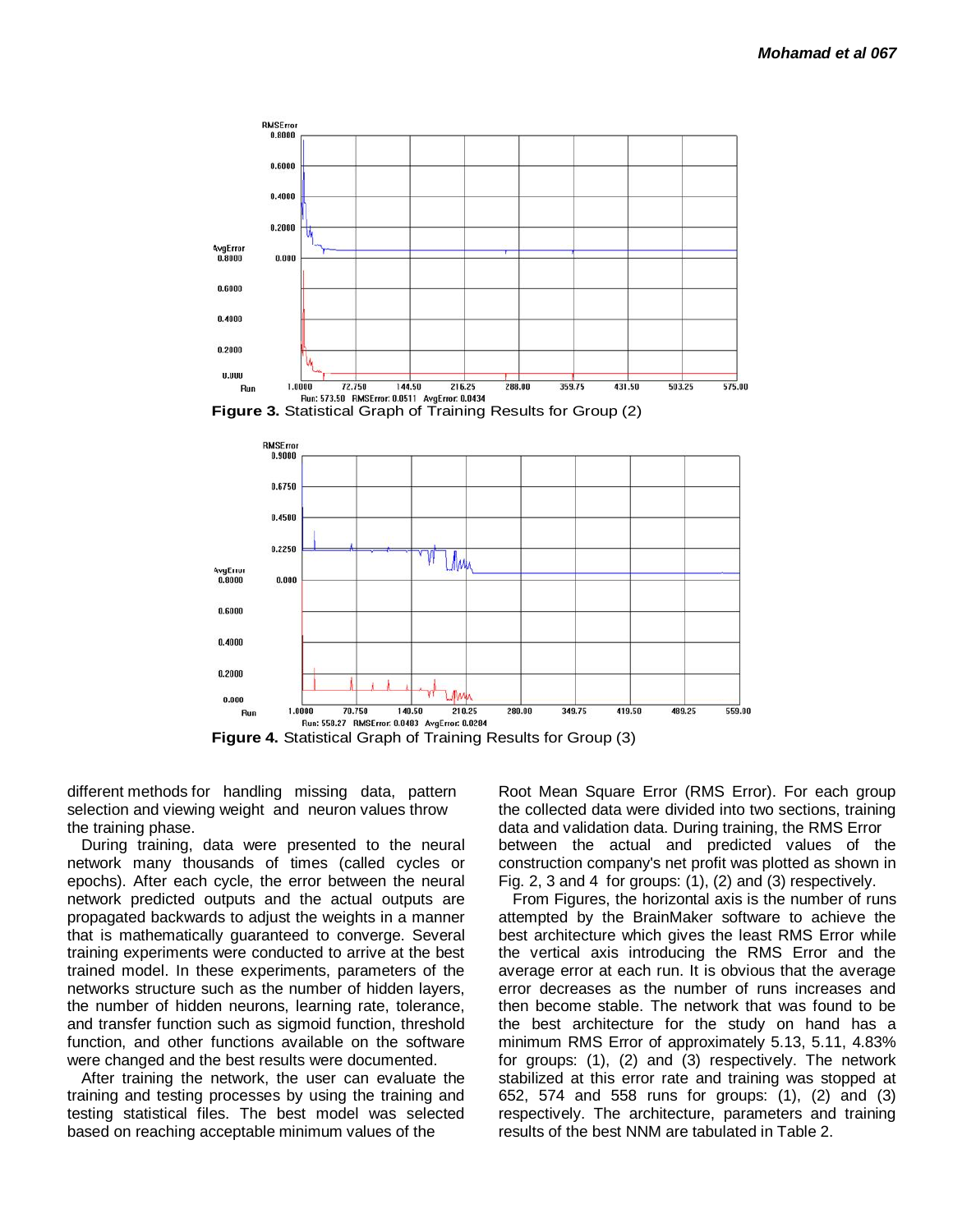



**Figure 4.** Statistical Graph of Training Results for Group (3)

different methods for handling missing data, pattern selection and viewing weight and neuron values throw the training phase.

During training, data were presented to the neural network many thousands of times (called cycles or epochs). After each cycle, the error between the neural network predicted outputs and the actual outputs are propagated backwards to adjust the weights in a manner that is mathematically guaranteed to converge. Several training experiments were conducted to arrive at the best trained model. In these experiments, parameters of the networks structure such as the number of hidden layers, the number of hidden neurons, learning rate, tolerance, and transfer function such as sigmoid function, threshold function, and other functions available on the software were changed and the best results were documented.

After training the network, the user can evaluate the training and testing processes by using the training and testing statistical files. The best model was selected based on reaching acceptable minimum values of the

Root Mean Square Error (RMS Error). For each group the collected data were divided into two sections, training data and validation data. During training, the RMS Error between the actual and predicted values of the construction company's net profit was plotted as shown in Fig. 2, 3 and 4 for groups: (1), (2) and (3) respectively.

From Figures, the horizontal axis is the number of runs attempted by the BrainMaker software to achieve the best architecture which gives the least RMS Error while the vertical axis introducing the RMS Error and the average error at each run. It is obvious that the average error decreases as the number of runs increases and then become stable. The network that was found to be the best architecture for the study on hand has a minimum RMS Error of approximately 5.13, 5.11, 4.83% for groups: (1), (2) and (3) respectively. The network stabilized at this error rate and training was stopped at 652, 574 and 558 runs for groups: (1), (2) and (3) respectively. The architecture, parameters and training results of the best NNM are tabulated in Table 2.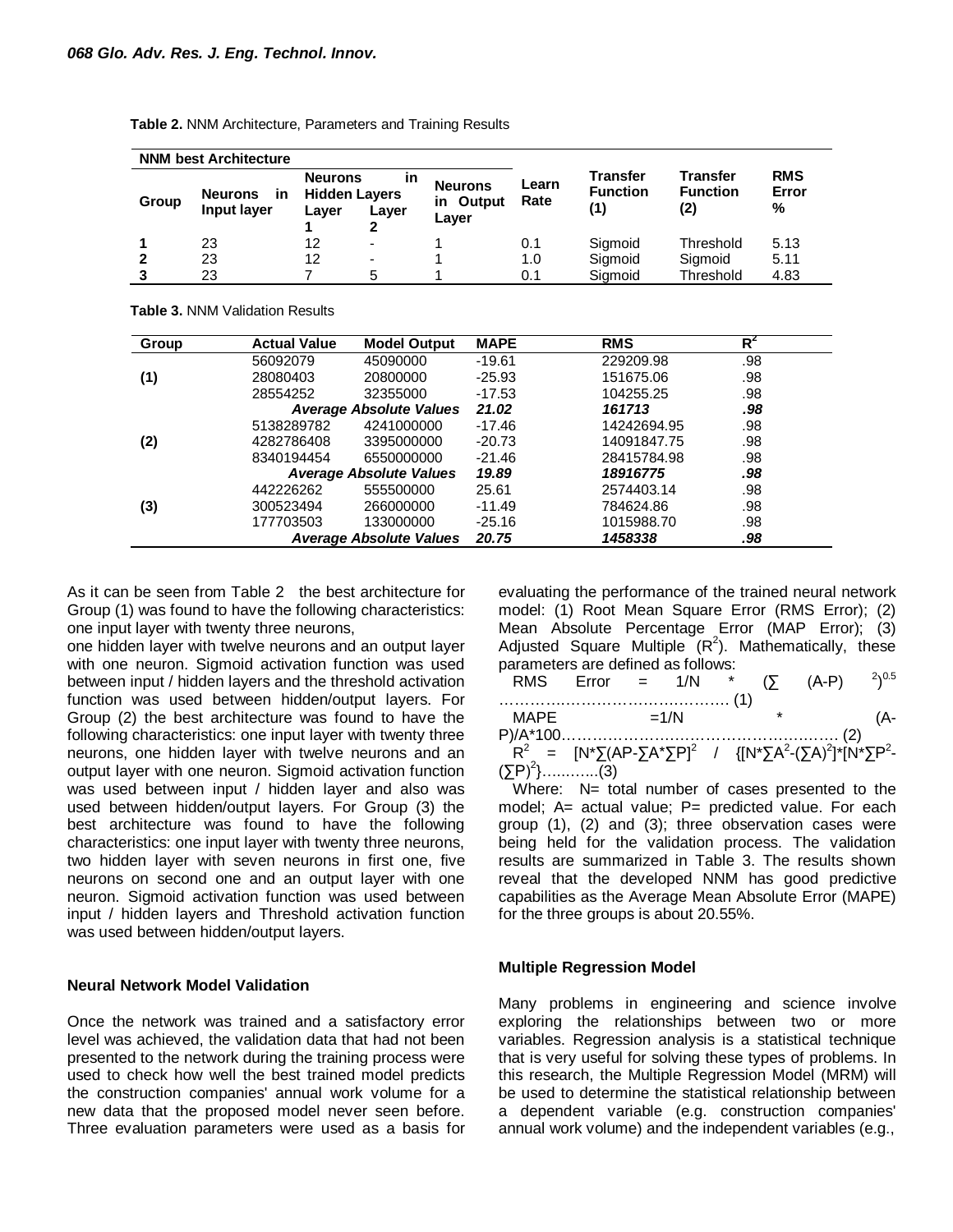|       | <b>NNM best Architecture</b>        |                                                 |                          |                               |               |                             |                                           |                          |
|-------|-------------------------------------|-------------------------------------------------|--------------------------|-------------------------------|---------------|-----------------------------|-------------------------------------------|--------------------------|
| Group | <b>Neurons</b><br>in<br>Input layer | <b>Neurons</b><br><b>Hidden Layers</b><br>Layer | in<br>Layer              | Neurons<br>in Output<br>Layer | Learn<br>Rate | Transfer<br><b>Function</b> | <b>Transfer</b><br><b>Function</b><br>(2) | <b>RMS</b><br>Error<br>% |
|       | 23                                  | 12                                              | $\overline{\phantom{a}}$ |                               | 0.1           | Sigmoid                     | Threshold                                 | 5.13                     |
|       | 23                                  | 12                                              | -                        |                               | 1.0           | Sigmoid                     | Sigmoid                                   | 5.11                     |
|       | 23                                  |                                                 | 5                        |                               | 0.1           | Siamoid                     | Threshold                                 | 4.83                     |

**Table 2.** NNM Architecture, Parameters and Training Results

**Table 3.** NNM Validation Results

| Group | <b>Actual Value</b> | <b>Model Output</b>            | <b>MAPE</b> | <b>RMS</b>  | $R^2$ |  |
|-------|---------------------|--------------------------------|-------------|-------------|-------|--|
|       | 56092079            | 45090000                       | $-19.61$    | 229209.98   | .98   |  |
| (1)   | 28080403            | 20800000                       | $-25.93$    | 151675.06   | .98   |  |
|       | 28554252            | 32355000                       | $-17.53$    | 104255.25   | .98   |  |
|       |                     | <b>Average Absolute Values</b> | 21.02       | 161713      | .98   |  |
|       | 5138289782          | 4241000000                     | $-17.46$    | 14242694.95 | .98   |  |
| (2)   | 4282786408          | 3395000000                     | $-20.73$    | 14091847.75 | .98   |  |
|       | 8340194454          | 6550000000                     | $-21.46$    | 28415784.98 | .98   |  |
|       |                     | <b>Average Absolute Values</b> | 19.89       | 18916775    | .98   |  |
|       | 442226262           | 555500000                      | 25.61       | 2574403.14  | .98   |  |
| (3)   | 300523494           | 266000000                      | $-11.49$    | 784624.86   | .98   |  |
|       | 177703503           | 133000000                      | $-25.16$    | 1015988.70  | .98   |  |
|       |                     | <b>Average Absolute Values</b> | 20.75       | 1458338     | .98   |  |

As it can be seen from Table 2 the best architecture for Group (1) was found to have the following characteristics: one input layer with twenty three neurons,

one hidden layer with twelve neurons and an output layer with one neuron. Sigmoid activation function was used between input / hidden layers and the threshold activation function was used between hidden/output layers. For Group (2) the best architecture was found to have the following characteristics: one input layer with twenty three neurons, one hidden layer with twelve neurons and an output layer with one neuron. Sigmoid activation function was used between input / hidden layer and also was used between hidden/output layers. For Group (3) the best architecture was found to have the following characteristics: one input layer with twenty three neurons, two hidden layer with seven neurons in first one, five neurons on second one and an output layer with one neuron. Sigmoid activation function was used between input / hidden layers and Threshold activation function was used between hidden/output layers.

#### **Neural Network Model Validation**

Once the network was trained and a satisfactory error level was achieved, the validation data that had not been presented to the network during the training process were used to check how well the best trained model predicts the construction companies' annual work volume for a new data that the proposed model never seen before. Three evaluation parameters were used as a basis for evaluating the performance of the trained neural network model: (1) Root Mean Square Error (RMS Error); (2) Mean Absolute Percentage Error (MAP Error); (3) Adjusted Square Multiple  $(R^2)$ . Mathematically, these parameters are defined as follows:

|                    |  |        |  | RMS Error = $1/N$ * (5 (A-P) $^{2})^{0.5}$ |  |
|--------------------|--|--------|--|--------------------------------------------|--|
| MAPF               |  | $=1/N$ |  |                                            |  |
| $(\Sigma P)^2$ (3) |  |        |  |                                            |  |

Where: N= total number of cases presented to the model; A= actual value; P= predicted value. For each group (1), (2) and (3); three observation cases were being held for the validation process. The validation results are summarized in Table 3. The results shown reveal that the developed NNM has good predictive capabilities as the Average Mean Absolute Error (MAPE) for the three groups is about 20.55%.

#### **Multiple Regression Model**

Many problems in engineering and science involve exploring the relationships between two or more variables. Regression analysis is a statistical technique that is very useful for solving these types of problems. In this research, the Multiple Regression Model (MRM) will be used to determine the statistical relationship between a dependent variable (e.g. construction companies' annual work volume) and the independent variables (e.g.,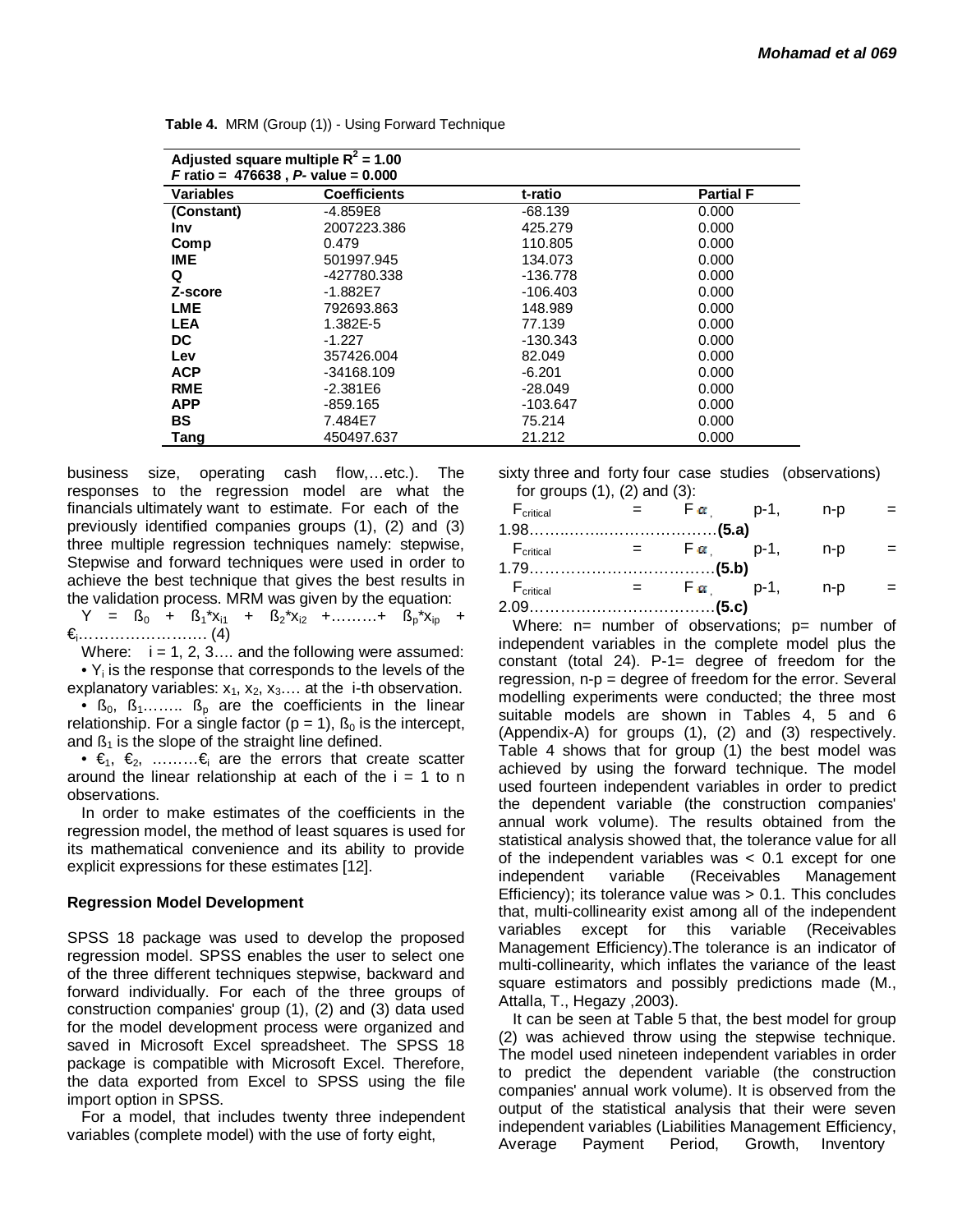| Adjusted square multiple $R^2$ = 1.00<br><i>F</i> ratio = $476638$ , <i>P</i> - value = $0.000$ |                     |            |                  |  |  |  |  |
|-------------------------------------------------------------------------------------------------|---------------------|------------|------------------|--|--|--|--|
| <b>Variables</b>                                                                                | <b>Coefficients</b> | t-ratio    | <b>Partial F</b> |  |  |  |  |
| (Constant)                                                                                      | $-4.859E8$          | $-68.139$  | 0.000            |  |  |  |  |
| <b>Inv</b>                                                                                      | 2007223.386         | 425.279    | 0.000            |  |  |  |  |
| Comp                                                                                            | 0.479               | 110.805    | 0.000            |  |  |  |  |
| <b>IME</b>                                                                                      | 501997.945          | 134.073    | 0.000            |  |  |  |  |
| Q                                                                                               | -427780.338         | $-136.778$ | 0.000            |  |  |  |  |
| Z-score                                                                                         | $-1.882E7$          | $-106.403$ | 0.000            |  |  |  |  |
| <b>LME</b>                                                                                      | 792693.863          | 148.989    | 0.000            |  |  |  |  |
| <b>LEA</b>                                                                                      | 1.382E-5            | 77.139     | 0.000            |  |  |  |  |
| DC                                                                                              | $-1.227$            | -130.343   | 0.000            |  |  |  |  |
| Lev                                                                                             | 357426.004          | 82.049     | 0.000            |  |  |  |  |
| <b>ACP</b>                                                                                      | -34168.109          | $-6.201$   | 0.000            |  |  |  |  |
| <b>RME</b>                                                                                      | $-2.381E6$          | $-28.049$  | 0.000            |  |  |  |  |
| <b>APP</b>                                                                                      | $-859.165$          | $-103.647$ | 0.000            |  |  |  |  |
| <b>BS</b>                                                                                       | 7.484E7             | 75.214     | 0.000            |  |  |  |  |
| Tang                                                                                            | 450497.637          | 21.212     | 0.000            |  |  |  |  |

**Table 4.** MRM (Group (1)) - Using Forward Technique

business size, operating cash flow,…etc.). The responses to the regression model are what the financials ultimately want to estimate. For each of the previously identified companies groups (1), (2) and (3) three multiple regression techniques namely: stepwise, Stepwise and forward techniques were used in order to achieve the best technique that gives the best results in the validation process. MRM was given by the equation:

 $Y = S_0 + S_1^*x_{i1} + S_2^*x_{i2} + \dots + S_p^*x_{ip} +$ €i……………………. (4)

Where:  $i = 1, 2, 3, \dots$  and the following were assumed:  $\bullet$  Y<sub>i</sub> is the response that corresponds to the levels of the explanatory variables:  $x_1$ ,  $x_2$ ,  $x_3$ ... at the i-th observation. •  $\beta_0$ ,  $\beta_1$ ........  $\beta_p$  are the coefficients in the linear relationship. For a single factor ( $p = 1$ ),  $\beta_0$  is the intercept, and  $\beta_1$  is the slope of the straight line defined.

•  $\epsilon_1, \epsilon_2, \ldots, \epsilon_n$  are the errors that create scatter around the linear relationship at each of the  $i = 1$  to n observations.

In order to make estimates of the coefficients in the regression model, the method of least squares is used for its mathematical convenience and its ability to provide explicit expressions for these estimates [12].

#### **Regression Model Development**

SPSS 18 package was used to develop the proposed regression model. SPSS enables the user to select one of the three different techniques stepwise, backward and forward individually. For each of the three groups of construction companies' group (1), (2) and (3) data used for the model development process were organized and saved in Microsoft Excel spreadsheet. The SPSS 18 package is compatible with Microsoft Excel. Therefore, the data exported from Excel to SPSS using the file import option in SPSS.

For a model, that includes twenty three independent variables (complete model) with the use of forty eight,

sixty three and forty four case studies (observations) for groups  $(1)$ ,  $(2)$  and  $(3)$ :

| $F_{critical}$ = $F \alpha$ p-1, n-p |                                    |  |  |
|--------------------------------------|------------------------------------|--|--|
|                                      |                                    |  |  |
| $F_{critical}$ = $F\alpha$ p-1, n-p  |                                    |  |  |
|                                      |                                    |  |  |
| $\mathsf{F}_{\mathsf{critical}}$     | $=$ $\mathsf{F}_{\alpha}$ p-1, n-p |  |  |
|                                      |                                    |  |  |

Where:  $n=$  number of observations;  $p=$  number of independent variables in the complete model plus the constant (total 24). P-1= degree of freedom for the regression, n-p = degree of freedom for the error. Several modelling experiments were conducted; the three most suitable models are shown in Tables 4, 5 and 6 (Appendix-A) for groups (1), (2) and (3) respectively. Table 4 shows that for group (1) the best model was achieved by using the forward technique. The model used fourteen independent variables in order to predict the dependent variable (the construction companies' annual work volume). The results obtained from the statistical analysis showed that, the tolerance value for all of the independent variables was < 0.1 except for one independent variable (Receivables Management Efficiency); its tolerance value was > 0.1. This concludes that, multi-collinearity exist among all of the independent variables except for this variable (Receivables Management Efficiency).The tolerance is an indicator of multi-collinearity, which inflates the variance of the least square estimators and possibly predictions made (M., Attalla, T., Hegazy ,2003).

It can be seen at Table 5 that, the best model for group (2) was achieved throw using the stepwise technique. The model used nineteen independent variables in order to predict the dependent variable (the construction companies' annual work volume). It is observed from the output of the statistical analysis that their were seven independent variables (Liabilities Management Efficiency, Average Payment Period, Growth, Inventory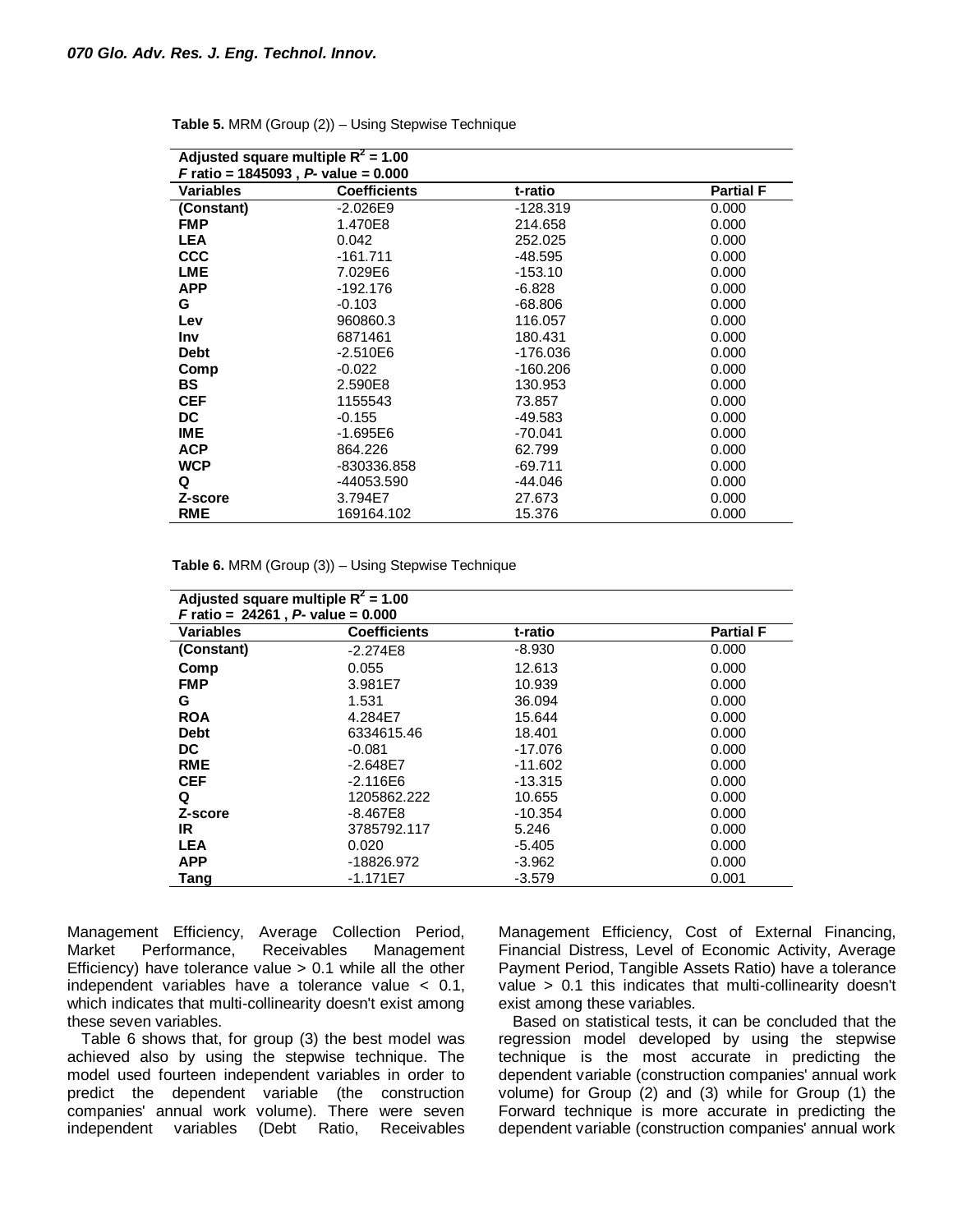| Adjusted square multiple $R^2$ = 1.00                |                     |            |                  |  |  |  |  |  |
|------------------------------------------------------|---------------------|------------|------------------|--|--|--|--|--|
| <i>F</i> ratio = 1845093, <i>P</i> - value = $0.000$ |                     |            |                  |  |  |  |  |  |
| <b>Variables</b>                                     | <b>Coefficients</b> | t-ratio    | <b>Partial F</b> |  |  |  |  |  |
| (Constant)                                           | $-2.026E9$          | $-128.319$ | 0.000            |  |  |  |  |  |
| <b>FMP</b>                                           | 1.470E8             | 214.658    | 0.000            |  |  |  |  |  |
| <b>LEA</b>                                           | 0.042               | 252.025    | 0.000            |  |  |  |  |  |
| <b>CCC</b>                                           | $-161.711$          | -48.595    | 0.000            |  |  |  |  |  |
| <b>LME</b>                                           | 7.029E6             | $-153.10$  | 0.000            |  |  |  |  |  |
| <b>APP</b>                                           | -192.176            | $-6.828$   | 0.000            |  |  |  |  |  |
| G                                                    | $-0.103$            | $-68.806$  | 0.000            |  |  |  |  |  |
| Lev                                                  | 960860.3            | 116.057    | 0.000            |  |  |  |  |  |
| <b>Inv</b>                                           | 6871461             | 180.431    | 0.000            |  |  |  |  |  |
| <b>Debt</b>                                          | $-2.510E6$          | -176.036   | 0.000            |  |  |  |  |  |
| Comp                                                 | $-0.022$            | $-160.206$ | 0.000            |  |  |  |  |  |
| <b>BS</b>                                            | 2.590E8             | 130.953    | 0.000            |  |  |  |  |  |
| <b>CEF</b>                                           | 1155543             | 73.857     | 0.000            |  |  |  |  |  |
| DC                                                   | $-0.155$            | -49.583    | 0.000            |  |  |  |  |  |
| <b>IME</b>                                           | -1.695E6            | $-70.041$  | 0.000            |  |  |  |  |  |
| <b>ACP</b>                                           | 864.226             | 62.799     | 0.000            |  |  |  |  |  |
| <b>WCP</b>                                           | -830336.858         | $-69.711$  | 0.000            |  |  |  |  |  |
| Q                                                    | -44053.590          | $-44.046$  | 0.000            |  |  |  |  |  |
| Z-score                                              | 3.794E7             | 27.673     | 0.000            |  |  |  |  |  |
| <b>RME</b>                                           | 169164.102          | 15.376     | 0.000            |  |  |  |  |  |

**Table 5.** MRM (Group (2)) – Using Stepwise Technique

| Adjusted square multiple $R^2$ = 1.00<br><b>F</b> ratio = $24261$ , P- value = $0.000$ |                     |           |                  |
|----------------------------------------------------------------------------------------|---------------------|-----------|------------------|
| Variables                                                                              | <b>Coefficients</b> | t-ratio   | <b>Partial F</b> |
| (Constant)                                                                             | $-2.274E8$          | $-8.930$  | 0.000            |
| Comp                                                                                   | 0.055               | 12.613    | 0.000            |
| <b>FMP</b>                                                                             | 3.981E7             | 10.939    | 0.000            |
| G                                                                                      | 1.531               | 36.094    | 0.000            |
| <b>ROA</b>                                                                             | 4.284E7             | 15.644    | 0.000            |
| <b>Debt</b>                                                                            | 6334615.46          | 18.401    | 0.000            |
| <b>DC</b>                                                                              | $-0.081$            | -17.076   | 0.000            |
| <b>RME</b>                                                                             | $-2.648E7$          | $-11.602$ | 0.000            |
| <b>CEF</b>                                                                             | $-2.116E6$          | $-13.315$ | 0.000            |
| Q                                                                                      | 1205862.222         | 10.655    | 0.000            |
| Z-score                                                                                | -8.467E8            | $-10.354$ | 0.000            |
| IR.                                                                                    | 3785792.117         | 5.246     | 0.000            |
| <b>LEA</b>                                                                             | 0.020               | $-5.405$  | 0.000            |
| <b>APP</b>                                                                             | -18826.972          | $-3.962$  | 0.000            |
| <b>Tang</b>                                                                            | $-1.171E7$          | $-3.579$  | 0.001            |

Management Efficiency, Average Collection Period, Market Performance, Receivables Management Efficiency) have tolerance value  $> 0.1$  while all the other independent variables have a tolerance value < 0.1, which indicates that multi-collinearity doesn't exist among these seven variables.

Table 6 shows that, for group (3) the best model was achieved also by using the stepwise technique. The model used fourteen independent variables in order to predict the dependent variable (the construction companies' annual work volume). There were seven independent variables (Debt Ratio, Receivables

Management Efficiency, Cost of External Financing, Financial Distress, Level of Economic Activity, Average Payment Period, Tangible Assets Ratio) have a tolerance value > 0.1 this indicates that multi-collinearity doesn't exist among these variables.

Based on statistical tests, it can be concluded that the regression model developed by using the stepwise technique is the most accurate in predicting the dependent variable (construction companies' annual work volume) for Group (2) and (3) while for Group (1) the Forward technique is more accurate in predicting the dependent variable (construction companies' annual work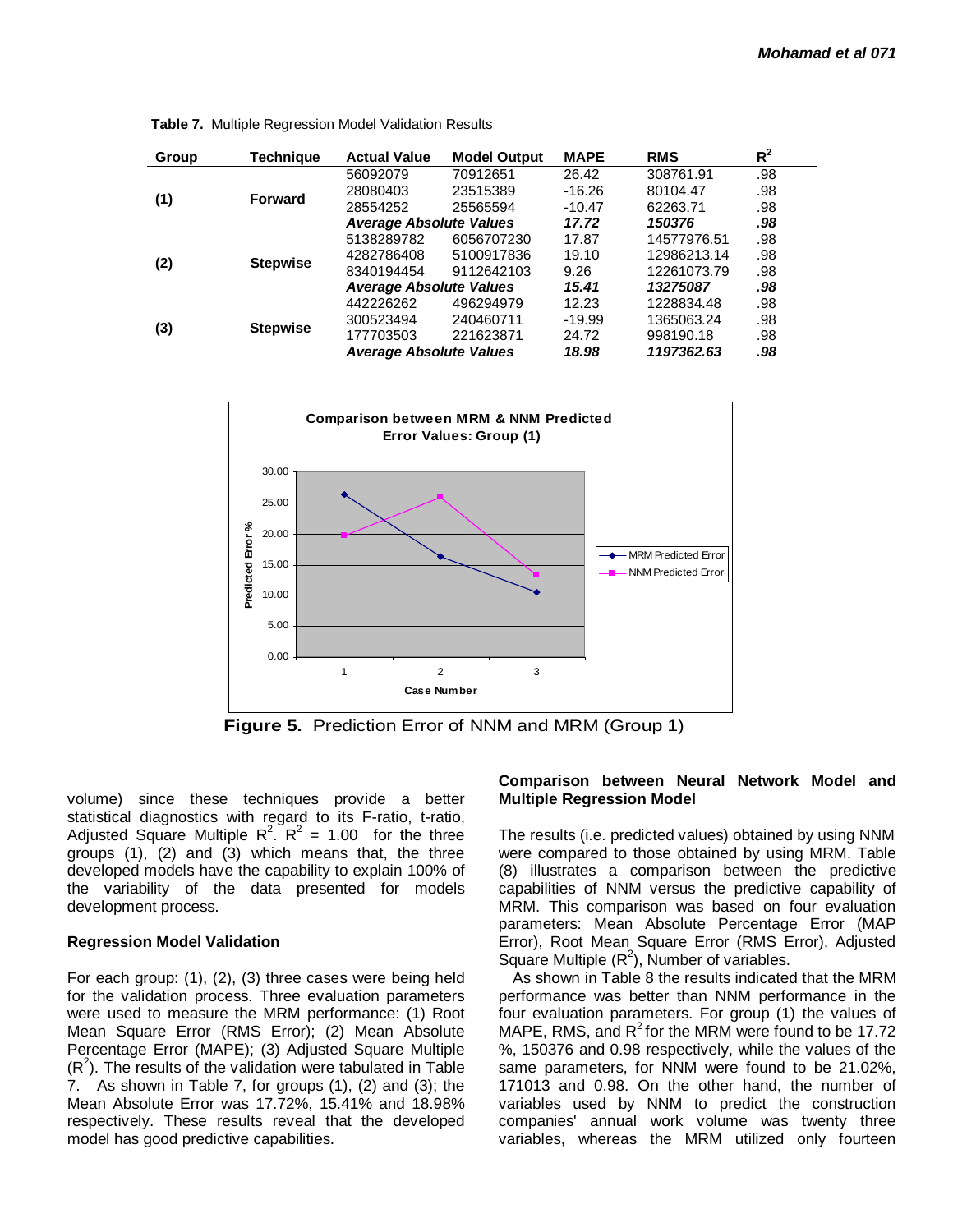| Group | Technique       | <b>Actual Value</b>            | <b>Model Output</b> | <b>MAPE</b> | <b>RMS</b>  | $R^2$ |
|-------|-----------------|--------------------------------|---------------------|-------------|-------------|-------|
|       |                 | 56092079                       | 70912651            | 26.42       | 308761.91   | .98   |
| (1)   | <b>Forward</b>  | 28080403                       | 23515389            | $-16.26$    | 80104.47    | .98   |
|       |                 | 28554252                       | 25565594            | $-10.47$    | 62263.71    | .98   |
|       |                 | <b>Average Absolute Values</b> |                     | 17.72       | 150376      | .98   |
|       |                 | 5138289782                     | 6056707230          | 17.87       | 14577976.51 | .98   |
|       |                 | 4282786408                     | 5100917836          | 19.10       | 12986213.14 | .98   |
| (2)   | <b>Stepwise</b> | 8340194454                     | 9112642103          | 9.26        | 12261073.79 | .98   |
|       |                 | <b>Average Absolute Values</b> |                     | 15.41       | 13275087    | .98   |
|       |                 | 442226262                      | 496294979           | 12.23       | 1228834.48  | .98   |
|       |                 | 300523494                      | 240460711           | $-19.99$    | 1365063.24  | .98   |
| (3)   | <b>Stepwise</b> | 177703503                      | 221623871           | 24.72       | 998190.18   | .98   |
|       |                 | <b>Average Absolute Values</b> |                     | 18.98       | 1197362.63  | .98   |

**Table 7.** Multiple Regression Model Validation Results



**Figure 5.** Prediction Error of NNM and MRM (Group 1)

volume) since these techniques provide a better statistical diagnostics with regard to its F-ratio, t-ratio, Adjusted Square Multiple  $R^2$ .  $R^2 = 1.00$  for the three groups (1), (2) and (3) which means that, the three developed models have the capability to explain 100% of the variability of the data presented for models development process.

# **Regression Model Validation**

For each group: (1), (2), (3) three cases were being held for the validation process. Three evaluation parameters were used to measure the MRM performance: (1) Root Mean Square Error (RMS Error); (2) Mean Absolute Percentage Error (MAPE); (3) Adjusted Square Multiple  $(R<sup>2</sup>)$ . The results of the validation were tabulated in Table 7. As shown in Table 7, for groups (1), (2) and (3); the Mean Absolute Error was 17.72%, 15.41% and 18.98% respectively. These results reveal that the developed model has good predictive capabilities.

### **Comparison between Neural Network Model and Multiple Regression Model**

The results (i.e. predicted values) obtained by using NNM were compared to those obtained by using MRM. Table (8) illustrates a comparison between the predictive capabilities of NNM versus the predictive capability of MRM. This comparison was based on four evaluation parameters: Mean Absolute Percentage Error (MAP Error), Root Mean Square Error (RMS Error), Adjusted Square Multiple  $(R^2)$ , Number of variables.

As shown in Table 8 the results indicated that the MRM performance was better than NNM performance in the four evaluation parameters. For group (1) the values of MAPE, RMS, and  $R^2$  for the MRM were found to be 17.72 %, 150376 and 0.98 respectively, while the values of the same parameters, for NNM were found to be 21.02%, 171013 and 0.98. On the other hand, the number of variables used by NNM to predict the construction companies' annual work volume was twenty three variables, whereas the MRM utilized only fourteen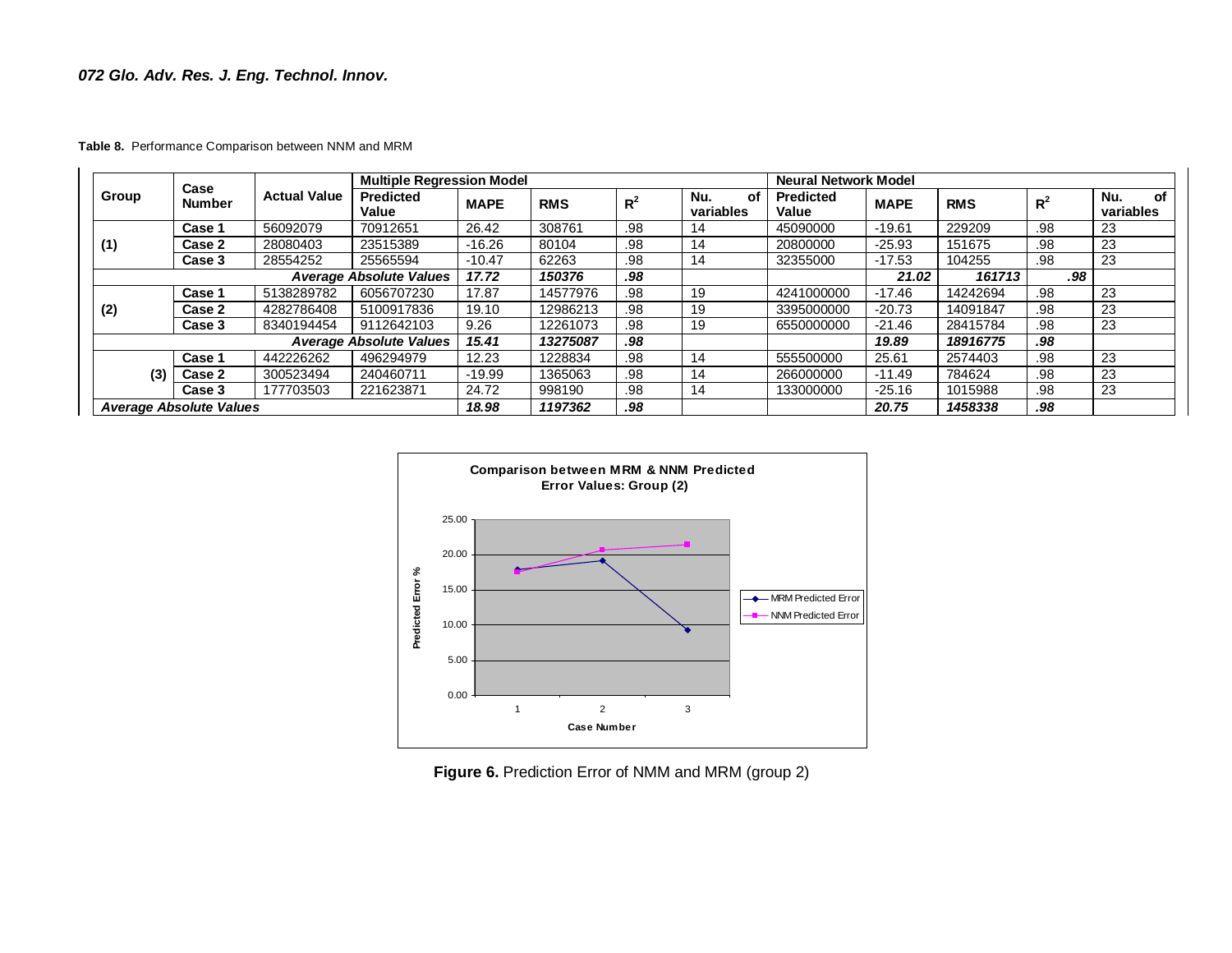# *072 Glo. Adv. Res. J. Eng. Technol. Innov.*

**Table 8.** Performance Comparison between NNM and MRM

|                                |                       |                     | <b>Multiple Regression Model</b> |             |            |                | <b>Neural Network Model</b> |                           |             |            |       |                        |
|--------------------------------|-----------------------|---------------------|----------------------------------|-------------|------------|----------------|-----------------------------|---------------------------|-------------|------------|-------|------------------------|
| Group                          | Case<br><b>Number</b> | <b>Actual Value</b> | <b>Predicted</b><br>Value        | <b>MAPE</b> | <b>RMS</b> | R <sup>2</sup> | Nu.<br>οf<br>variables      | <b>Predicted</b><br>Value | <b>MAPE</b> | <b>RMS</b> | $R^2$ | οf<br>Nu.<br>variables |
|                                | Case 1                | 56092079            | 70912651                         | 26.42       | 308761     | .98            | 14                          | 45090000                  | $-19.61$    | 229209     | .98   | 23                     |
| (1)                            | Case 2                | 28080403            | 23515389                         | $-16.26$    | 80104      | .98            | 14                          | 20800000                  | $-25.93$    | 151675     | .98   | 23                     |
|                                | Case 3                | 28554252            | 25565594                         | $-10.47$    | 62263      | .98            | 14                          | 32355000                  | $-17.53$    | 104255     | .98   | 23                     |
| <b>Average Absolute Values</b> |                       |                     | 17.72                            | 150376      | .98        |                |                             | 21.02                     | 161713      | .98        |       |                        |
|                                | Case 1                | 5138289782          | 6056707230                       | 17.87       | 14577976   | .98            | 19                          | 4241000000                | -17.46      | 14242694   | .98   | 23                     |
| (2)                            | Case 2                | 4282786408          | 5100917836                       | 19.10       | 12986213   | .98            | 19                          | 3395000000                | $-20.73$    | 14091847   | .98   | 23                     |
|                                | Case 3                | 8340194454          | 9112642103                       | 9.26        | 12261073   | .98            | 19                          | 6550000000                | $-21.46$    | 28415784   | .98   | 23                     |
|                                |                       |                     | <b>Average Absolute Values</b>   | 15.41       | 13275087   | .98            |                             |                           | 19.89       | 18916775   | .98   |                        |
|                                | Case 1                | 442226262           | 496294979                        | 12.23       | 1228834    | .98            | 14                          | 555500000                 | 25.61       | 2574403    | .98   | 23                     |
| (3)                            | Case 2                | 300523494           | 240460711                        | $-19.99$    | 1365063    | .98            | 14                          | 266000000                 | -11.49      | 784624     | .98   | 23                     |
|                                | Case 3                | 177703503           | 221623871                        | 24.72       | 998190     | .98            | 14                          | 133000000                 | $-25.16$    | 1015988    | .98   | 23                     |
| <b>Average Absolute Values</b> |                       | 18.98               | 1197362                          | .98         |            |                | 20.75                       | 1458338                   | .98         |            |       |                        |



**Figure 6.** Prediction Error of NMM and MRM (group 2)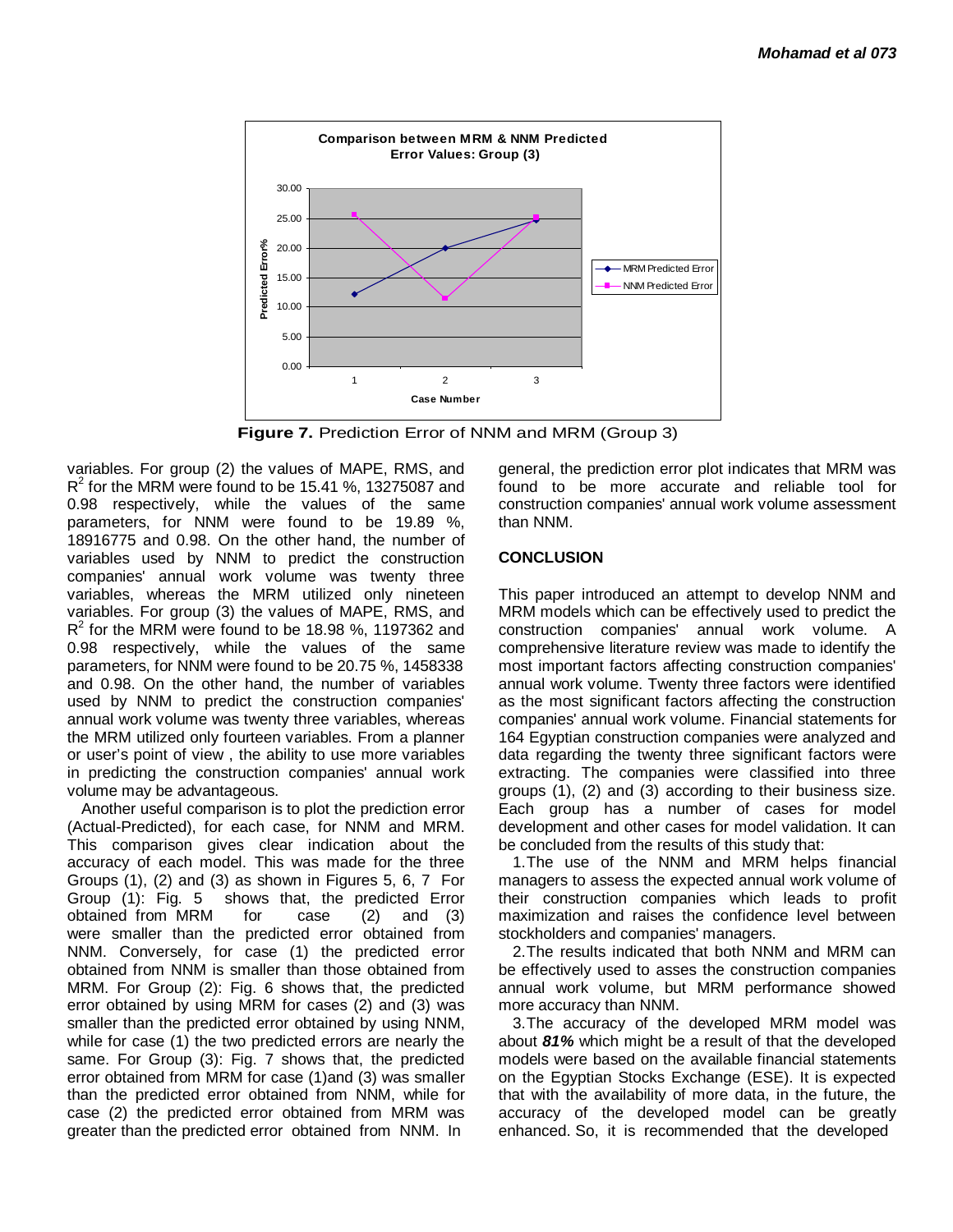

**Figure 7.** Prediction Error of NNM and MRM (Group 3)

variables. For group (2) the values of MAPE, RMS, and  $R^2$  for the MRM were found to be 15.41 %, 13275087 and 0.98 respectively, while the values of the same parameters, for NNM were found to be 19.89 %, 18916775 and 0.98. On the other hand, the number of variables used by NNM to predict the construction companies' annual work volume was twenty three variables, whereas the MRM utilized only nineteen variables. For group (3) the values of MAPE, RMS, and  $R^2$  for the MRM were found to be 18.98 %, 1197362 and 0.98 respectively, while the values of the same parameters, for NNM were found to be 20.75 %, 1458338 and 0.98. On the other hand, the number of variables used by NNM to predict the construction companies' annual work volume was twenty three variables, whereas the MRM utilized only fourteen variables. From a planner or user's point of view , the ability to use more variables in predicting the construction companies' annual work volume may be advantageous.

Another useful comparison is to plot the prediction error (Actual-Predicted), for each case, for NNM and MRM. This comparison gives clear indication about the accuracy of each model. This was made for the three Groups (1), (2) and (3) as shown in Figures 5, 6, 7 For Group (1): Fig. 5 shows that, the predicted Error obtained from MRM for case (2) and (3) were smaller than the predicted error obtained from NNM. Conversely, for case (1) the predicted error obtained from NNM is smaller than those obtained from MRM. For Group (2): Fig. 6 shows that, the predicted error obtained by using MRM for cases (2) and (3) was smaller than the predicted error obtained by using NNM, while for case (1) the two predicted errors are nearly the same. For Group (3): Fig. 7 shows that, the predicted error obtained from MRM for case (1)and (3) was smaller than the predicted error obtained from NNM, while for case (2) the predicted error obtained from MRM was greater than the predicted error obtained from NNM. In

general, the prediction error plot indicates that MRM was found to be more accurate and reliable tool for construction companies' annual work volume assessment than NNM.

# **CONCLUSION**

This paper introduced an attempt to develop NNM and MRM models which can be effectively used to predict the construction companies' annual work volume. A comprehensive literature review was made to identify the most important factors affecting construction companies' annual work volume. Twenty three factors were identified as the most significant factors affecting the construction companies' annual work volume. Financial statements for 164 Egyptian construction companies were analyzed and data regarding the twenty three significant factors were extracting. The companies were classified into three groups (1), (2) and (3) according to their business size. Each group has a number of cases for model development and other cases for model validation. It can be concluded from the results of this study that:

1.The use of the NNM and MRM helps financial managers to assess the expected annual work volume of their construction companies which leads to profit maximization and raises the confidence level between stockholders and companies' managers.

2.The results indicated that both NNM and MRM can be effectively used to asses the construction companies annual work volume, but MRM performance showed more accuracy than NNM.

3.The accuracy of the developed MRM model was about *81%* which might be a result of that the developed models were based on the available financial statements on the Egyptian Stocks Exchange (ESE). It is expected that with the availability of more data, in the future, the accuracy of the developed model can be greatly enhanced. So, it is recommended that the developed